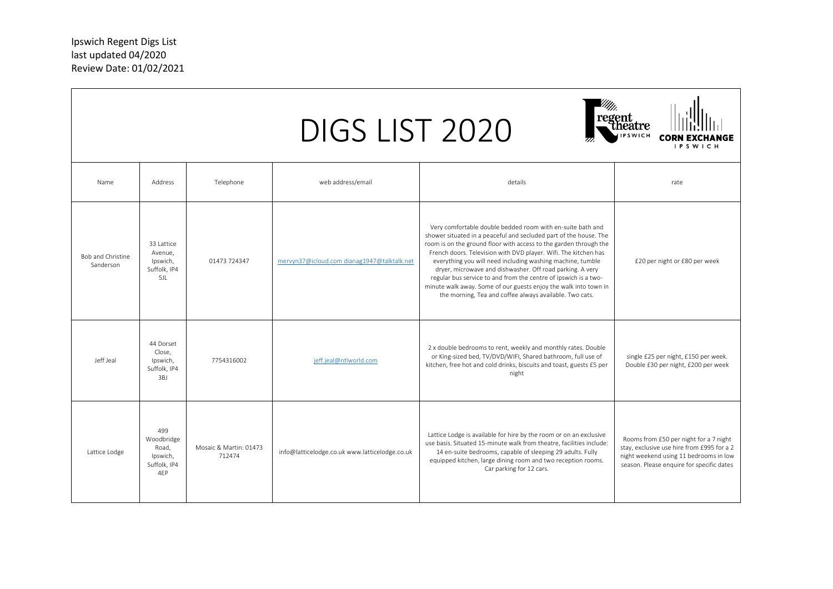|                                       |                                                               |                                  | DIGS LIST 2020                                 |                                                                                                                                                                                                                                                                                                                                                                                                                                                                                                                                                                                                      | 'egent<br>- theatre<br><b>IPSWICH</b>                                                                                                                                       |
|---------------------------------------|---------------------------------------------------------------|----------------------------------|------------------------------------------------|------------------------------------------------------------------------------------------------------------------------------------------------------------------------------------------------------------------------------------------------------------------------------------------------------------------------------------------------------------------------------------------------------------------------------------------------------------------------------------------------------------------------------------------------------------------------------------------------------|-----------------------------------------------------------------------------------------------------------------------------------------------------------------------------|
| Name                                  | Address                                                       | Telephone                        | web address/email                              | details                                                                                                                                                                                                                                                                                                                                                                                                                                                                                                                                                                                              | rate                                                                                                                                                                        |
| <b>Bob and Christine</b><br>Sanderson | 33 Lattice<br>Avenue,<br>Ipswich,<br>Suffolk, IP4<br>5JL      | 01473 724347                     | mervyn37@icloud.com dianag1947@talktalk.net    | Very comfortable double bedded room with en-suite bath and<br>shower situated in a peaceful and secluded part of the house. The<br>room is on the ground floor with access to the garden through the<br>French doors. Television with DVD player. Wifi. The kitchen has<br>everything you will need including washing machine, tumble<br>dryer, microwave and dishwasher. Off road parking. A very<br>regular bus service to and from the centre of Ipswich is a two-<br>minute walk away. Some of our guests enjoy the walk into town in<br>the morning, Tea and coffee always available. Two cats. | £20 per night or £80 per week                                                                                                                                               |
| Jeff Jeal                             | 44 Dorset<br>Close,<br>Ipswich,<br>Suffolk, IP4<br>3BJ        | 7754316002                       | ieff.ieal@ntlworld.com                         | 2 x double bedrooms to rent, weekly and monthly rates. Double<br>or King-sized bed, TV/DVD/WIFI, Shared bathroom, full use of<br>kitchen, free hot and cold drinks, biscuits and toast, guests £5 per<br>night                                                                                                                                                                                                                                                                                                                                                                                       | single £25 per night, £150 per week.<br>Double £30 per night, £200 per week                                                                                                 |
| Lattice Lodge                         | 499<br>Woodbridge<br>Road,<br>Ipswich,<br>Suffolk, IP4<br>4EP | Mosaic & Martin: 01473<br>712474 | info@latticelodge.co.uk www.latticelodge.co.uk | Lattice Lodge is available for hire by the room or on an exclusive<br>use basis. Situated 15-minute walk from theatre, facilities include:<br>14 en-suite bedrooms, capable of sleeping 29 adults. Fully<br>equipped kitchen, large dining room and two reception rooms.<br>Car parking for 12 cars.                                                                                                                                                                                                                                                                                                 | Rooms from £50 per night for a 7 night<br>stay, exclusive use hire from £995 for a 2<br>night weekend using 11 bedrooms in low<br>season. Please enquire for specific dates |

ᄀ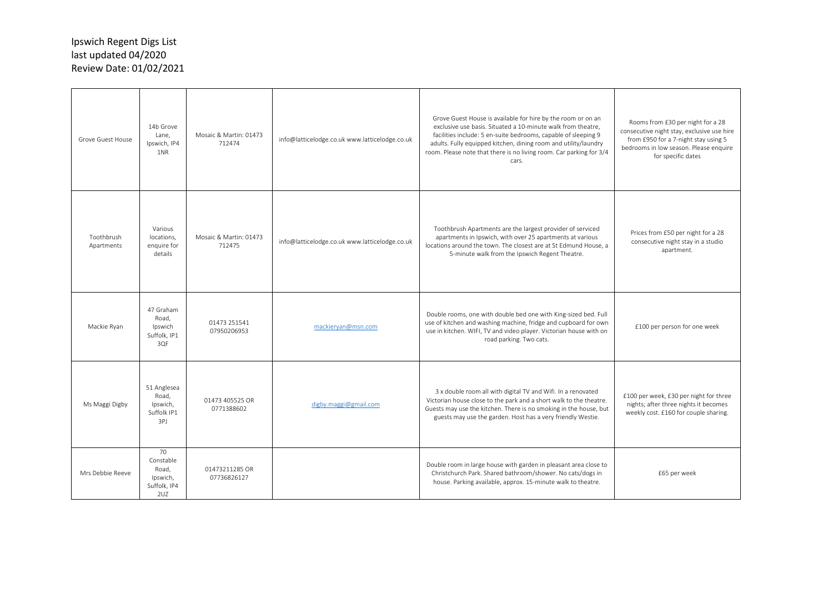| Grove Guest House        | 14b Grove<br>Lane.<br>Ipswich, IP4<br>1NR                   | Mosaic & Martin: 01473<br>712474 | info@latticelodge.co.uk www.latticelodge.co.uk | Grove Guest House is available for hire by the room or on an<br>exclusive use basis. Situated a 10-minute walk from theatre,<br>facilities include: 5 en-suite bedrooms, capable of sleeping 9<br>adults. Fully equipped kitchen, dining room and utility/laundry<br>room. Please note that there is no living room. Car parking for 3/4<br>cars. | Rooms from £30 per night for a 28<br>consecutive night stay, exclusive use hire<br>from £950 for a 7-night stay using 5<br>bedrooms in low season. Please enquire<br>for specific dates |
|--------------------------|-------------------------------------------------------------|----------------------------------|------------------------------------------------|---------------------------------------------------------------------------------------------------------------------------------------------------------------------------------------------------------------------------------------------------------------------------------------------------------------------------------------------------|-----------------------------------------------------------------------------------------------------------------------------------------------------------------------------------------|
| Toothbrush<br>Apartments | Various<br>locations,<br>enquire for<br>details             | Mosaic & Martin: 01473<br>712475 | info@latticelodge.co.uk www.latticelodge.co.uk | Toothbrush Apartments are the largest provider of serviced<br>apartments in Ipswich, with over 25 apartments at various<br>locations around the town. The closest are at St Edmund House, a<br>5-minute walk from the Ipswich Regent Theatre.                                                                                                     | Prices from £50 per night for a 28<br>consecutive night stay in a studio<br>apartment.                                                                                                  |
| Mackie Ryan              | 47 Graham<br>Road,<br>Ipswich<br>Suffolk, IP1<br>3QF        | 01473 251541<br>07950206953      | mackieryan@msn.com                             | Double rooms, one with double bed one with King-sized bed. Full<br>use of kitchen and washing machine, fridge and cupboard for own<br>use in kitchen. WIFI, TV and video player. Victorian house with on<br>road parking. Two cats.                                                                                                               | £100 per person for one week                                                                                                                                                            |
| Ms Maggi Digby           | 51 Anglesea<br>Road,<br>Ipswich,<br>Suffolk IP1<br>3PJ      | 01473 405525 OR<br>0771388602    | digby.maggi@gmail.com                          | 3 x double room all with digital TV and Wifi. In a renovated<br>Victorian house close to the park and a short walk to the theatre.<br>Guests may use the kitchen. There is no smoking in the house, but<br>guests may use the garden. Host has a very friendly Westie.                                                                            | £100 per week, £30 per night for three<br>nights; after three nights it becomes<br>weekly cost. £160 for couple sharing.                                                                |
| Mrs Debbie Reeve         | 70<br>Constable<br>Road.<br>Ipswich,<br>Suffolk, IP4<br>2UZ | 01473211285 OR<br>07736826127    |                                                | Double room in large house with garden in pleasant area close to<br>Christchurch Park. Shared bathroom/shower. No cats/dogs in<br>house. Parking available, approx. 15-minute walk to theatre.                                                                                                                                                    | £65 per week                                                                                                                                                                            |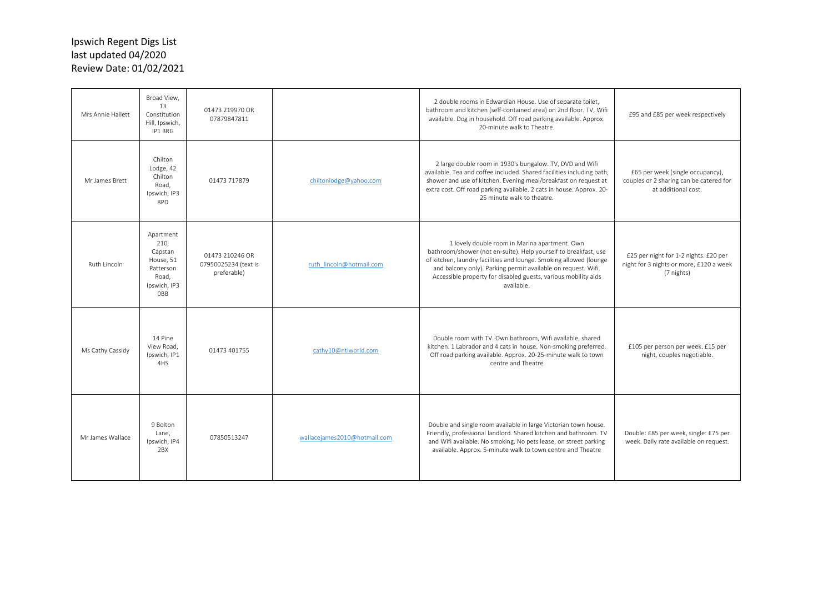| Mrs Annie Hallett | Broad View,<br>13<br>Constitution<br>Hill, Ipswich,<br>IP1 3RG                         | 01473 219970 OR<br>07879847811                         |                              | 2 double rooms in Edwardian House. Use of separate toilet,<br>bathroom and kitchen (self-contained area) on 2nd floor. TV, Wifi<br>available. Dog in household. Off road parking available. Approx.<br>20-minute walk to Theatre.                                                                                                       | £95 and £85 per week respectively                                                                  |
|-------------------|----------------------------------------------------------------------------------------|--------------------------------------------------------|------------------------------|-----------------------------------------------------------------------------------------------------------------------------------------------------------------------------------------------------------------------------------------------------------------------------------------------------------------------------------------|----------------------------------------------------------------------------------------------------|
| Mr James Brett    | Chilton<br>Lodge, 42<br>Chilton<br>Road.<br>Ipswich, IP3<br>8PD                        | 01473 717879                                           | chiltonlodge@yahoo.com       | 2 large double room in 1930's bungalow. TV, DVD and Wifi<br>available. Tea and coffee included. Shared facilities including bath,<br>shower and use of kitchen. Evening meal/breakfast on request at<br>extra cost. Off road parking available. 2 cats in house. Approx. 20-<br>25 minute walk to theatre.                              | £65 per week (single occupancy),<br>couples or 2 sharing can be catered for<br>at additional cost. |
| Ruth Lincoln      | Apartment<br>210,<br>Capstan<br>House, 51<br>Patterson<br>Road.<br>Ipswich, IP3<br>OBB | 01473 210246 OR<br>07950025234 (text is<br>preferable) | ruth lincoln@hotmail.com     | 1 lovely double room in Marina apartment. Own<br>bathroom/shower (not en-suite). Help yourself to breakfast, use<br>of kitchen, laundry facilities and lounge. Smoking allowed (lounge<br>and balcony only). Parking permit available on request. Wifi.<br>Accessible property for disabled guests, various mobility aids<br>available. | £25 per night for 1-2 nights. £20 per<br>night for 3 nights or more, £120 a week<br>(7 nights)     |
| Ms Cathy Cassidy  | 14 Pine<br>View Road.<br>Ipswich, IP1<br>4HS                                           | 01473 401755                                           | cathy10@ntlworld.com         | Double room with TV. Own bathroom, Wifi available, shared<br>kitchen. 1 Labrador and 4 cats in house. Non-smoking preferred.<br>Off road parking available. Approx. 20-25-minute walk to town<br>centre and Theatre                                                                                                                     | £105 per person per week. £15 per<br>night, couples negotiable.                                    |
| Mr James Wallace  | 9 Bolton<br>Lane.<br>Ipswich, IP4<br>2BX                                               | 07850513247                                            | wallacejames2010@hotmail.com | Double and single room available in large Victorian town house.<br>Friendly, professional landlord. Shared kitchen and bathroom. TV<br>and Wifi available. No smoking. No pets lease, on street parking<br>available. Approx. 5-minute walk to town centre and Theatre                                                                  | Double: £85 per week, single: £75 per<br>week. Daily rate available on request.                    |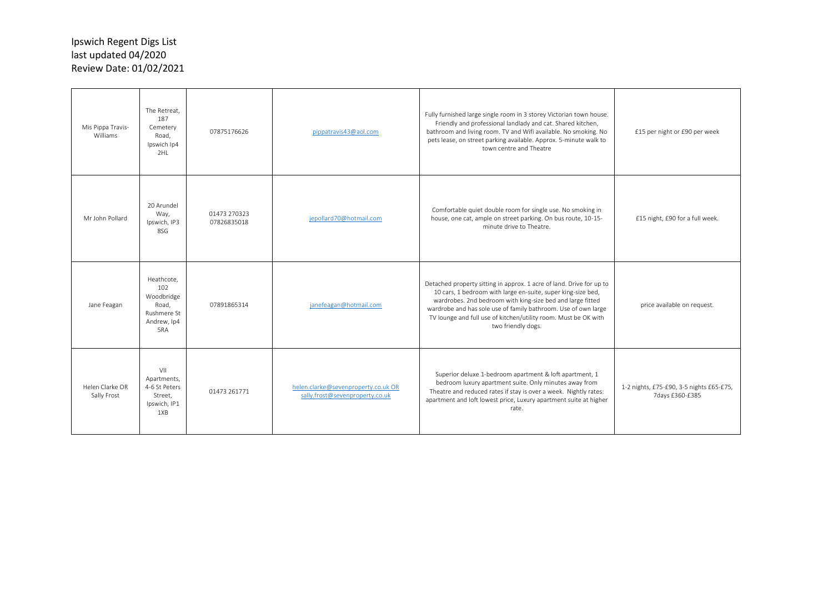| Mis Pippa Travis-<br>Williams  | The Retreat,<br>187<br>Cemetery<br>Road,<br>Ipswich Ip4<br>2HL                | 07875176626                 | pippatravis43@aol.com                                                  | Fully furnished large single room in 3 storey Victorian town house.<br>Friendly and professional landlady and cat. Shared kitchen,<br>bathroom and living room. TV and Wifi available. No smoking. No<br>pets lease, on street parking available. Approx. 5-minute walk to<br>town centre and Theatre                                                         | £15 per night or £90 per week                               |
|--------------------------------|-------------------------------------------------------------------------------|-----------------------------|------------------------------------------------------------------------|---------------------------------------------------------------------------------------------------------------------------------------------------------------------------------------------------------------------------------------------------------------------------------------------------------------------------------------------------------------|-------------------------------------------------------------|
| Mr John Pollard                | 20 Arundel<br>Way,<br>Ipswich, IP3<br>8SG                                     | 01473 270323<br>07826835018 | jepollard70@hotmail.com                                                | Comfortable quiet double room for single use. No smoking in<br>house, one cat, ample on street parking. On bus route, 10-15-<br>minute drive to Theatre.                                                                                                                                                                                                      | £15 night, £90 for a full week.                             |
| Jane Feagan                    | Heathcote,<br>102<br>Woodbridge<br>Road.<br>Rushmere St<br>Andrew, Ip4<br>5RA | 07891865314                 | janefeagan@hotmail.com                                                 | Detached property sitting in approx. 1 acre of land. Drive for up to<br>10 cars, 1 bedroom with large en-suite, super king-size bed,<br>wardrobes. 2nd bedroom with king-size bed and large fitted<br>wardrobe and has sole use of family bathroom. Use of own large<br>TV lounge and full use of kitchen/utility room. Must be OK with<br>two friendly dogs. | price available on request.                                 |
| Helen Clarke OR<br>Sally Frost | VII<br>Apartments,<br>4-6 St Peters<br>Street.<br>Ipswich, IP1<br>1XB         | 01473 261771                | helen.clarke@sevenproperty.co.uk OR<br>sally.frost@sevenproperty.co.uk | Superior deluxe 1-bedroom apartment & loft apartment, 1<br>bedroom luxury apartment suite. Only minutes away from<br>Theatre and reduced rates if stay is over a week. Nightly rates:<br>apartment and loft lowest price, Luxury apartment suite at higher<br>rate.                                                                                           | 1-2 nights, £75-£90, 3-5 nights £65-£75,<br>7days £360-£385 |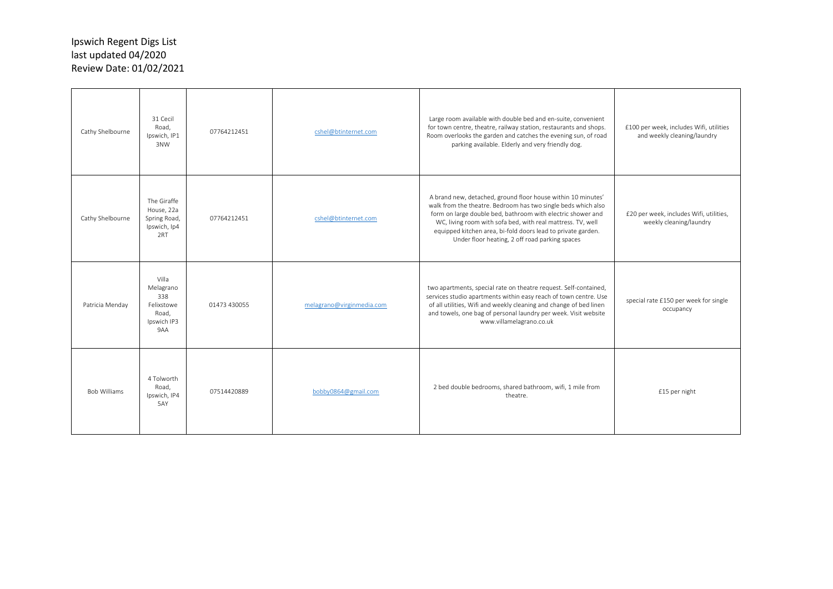| Cathy Shelbourne    | 31 Cecil<br>Road,<br>Ipswich, IP1<br>3NW                               | 07764212451  | cshel@btinternet.com      | Large room available with double bed and en-suite, convenient<br>for town centre, theatre, railway station, restaurants and shops.<br>Room overlooks the garden and catches the evening sun, of road<br>parking available. Elderly and very friendly dog.                                                                                                                     | £100 per week, includes Wifi, utilities<br>and weekly cleaning/laundry |
|---------------------|------------------------------------------------------------------------|--------------|---------------------------|-------------------------------------------------------------------------------------------------------------------------------------------------------------------------------------------------------------------------------------------------------------------------------------------------------------------------------------------------------------------------------|------------------------------------------------------------------------|
| Cathy Shelbourne    | The Giraffe<br>House, 22a<br>Spring Road,<br>Ipswich, Ip4<br>2RT       | 07764212451  | cshel@btinternet.com      | A brand new, detached, ground floor house within 10 minutes'<br>walk from the theatre. Bedroom has two single beds which also<br>form on large double bed, bathroom with electric shower and<br>WC, living room with sofa bed, with real mattress. TV, well<br>equipped kitchen area, bi-fold doors lead to private garden.<br>Under floor heating, 2 off road parking spaces | £20 per week, includes Wifi, utilities,<br>weekly cleaning/laundry     |
| Patricia Menday     | Villa<br>Melagrano<br>338<br>Felixstowe<br>Road.<br>Ipswich IP3<br>9AA | 01473 430055 | melagrano@virginmedia.com | two apartments, special rate on theatre request. Self-contained,<br>services studio apartments within easy reach of town centre. Use<br>of all utilities, Wifi and weekly cleaning and change of bed linen<br>and towels, one bag of personal laundry per week. Visit website<br>www.villamelagrano.co.uk                                                                     | special rate £150 per week for single<br>occupancy                     |
| <b>Bob Williams</b> | 4 Tolworth<br>Road,<br>Ipswich, IP4<br>5AY                             | 07514420889  | bobby0864@gmail.com       | 2 bed double bedrooms, shared bathroom, wifi, 1 mile from<br>theatre.                                                                                                                                                                                                                                                                                                         | £15 per night                                                          |